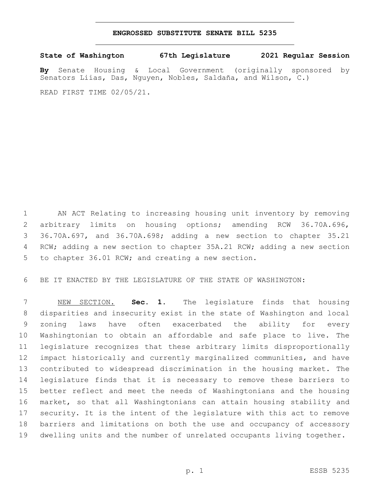## **ENGROSSED SUBSTITUTE SENATE BILL 5235**

**State of Washington 67th Legislature 2021 Regular Session**

**By** Senate Housing & Local Government (originally sponsored by Senators Liias, Das, Nguyen, Nobles, Saldaña, and Wilson, C.)

READ FIRST TIME 02/05/21.

 AN ACT Relating to increasing housing unit inventory by removing arbitrary limits on housing options; amending RCW 36.70A.696, 36.70A.697, and 36.70A.698; adding a new section to chapter 35.21 RCW; adding a new section to chapter 35A.21 RCW; adding a new section 5 to chapter 36.01 RCW; and creating a new section.

BE IT ENACTED BY THE LEGISLATURE OF THE STATE OF WASHINGTON:

 NEW SECTION. **Sec. 1.** The legislature finds that housing disparities and insecurity exist in the state of Washington and local zoning laws have often exacerbated the ability for every Washingtonian to obtain an affordable and safe place to live. The legislature recognizes that these arbitrary limits disproportionally impact historically and currently marginalized communities, and have contributed to widespread discrimination in the housing market. The legislature finds that it is necessary to remove these barriers to better reflect and meet the needs of Washingtonians and the housing market, so that all Washingtonians can attain housing stability and security. It is the intent of the legislature with this act to remove barriers and limitations on both the use and occupancy of accessory dwelling units and the number of unrelated occupants living together.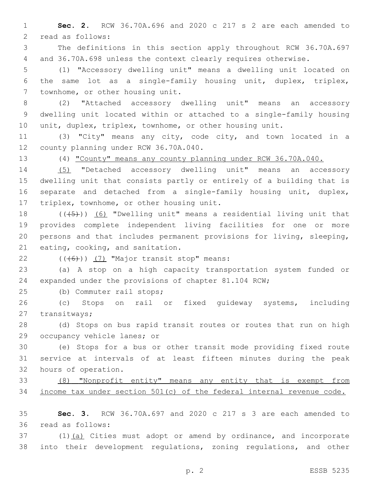**Sec. 2.** RCW 36.70A.696 and 2020 c 217 s 2 are each amended to 2 read as follows:

 The definitions in this section apply throughout RCW 36.70A.697 and 36.70A.698 unless the context clearly requires otherwise.

 (1) "Accessory dwelling unit" means a dwelling unit located on the same lot as a single-family housing unit, duplex, triplex, 7 townhome, or other housing unit.

 (2) "Attached accessory dwelling unit" means an accessory dwelling unit located within or attached to a single-family housing unit, duplex, triplex, townhome, or other housing unit.

 (3) "City" means any city, code city, and town located in a 12 county planning under RCW 36.70A.040.

(4) "County" means any county planning under RCW 36.70A.040.

 (5) "Detached accessory dwelling unit" means an accessory dwelling unit that consists partly or entirely of a building that is separate and detached from a single-family housing unit, duplex, 17 triplex, townhome, or other housing unit.

 $((+5+))$  (6) "Dwelling unit" means a residential living unit that provides complete independent living facilities for one or more persons and that includes permanent provisions for living, sleeping, 21 eating, cooking, and sanitation.

 $(46)$ ) (7) "Major transit stop" means:

 (a) A stop on a high capacity transportation system funded or expanded under the provisions of chapter 81.104 RCW;

25 (b) Commuter rail stops;

 (c) Stops on rail or fixed guideway systems, including 27 transitways;

 (d) Stops on bus rapid transit routes or routes that run on high 29 occupancy vehicle lanes; or

 (e) Stops for a bus or other transit mode providing fixed route service at intervals of at least fifteen minutes during the peak 32 hours of operation.

 (8) "Nonprofit entity" means any entity that is exempt from income tax under section 501(c) of the federal internal revenue code.

 **Sec. 3.** RCW 36.70A.697 and 2020 c 217 s 3 are each amended to 36 read as follows:

 (1)(a) Cities must adopt or amend by ordinance, and incorporate into their development regulations, zoning regulations, and other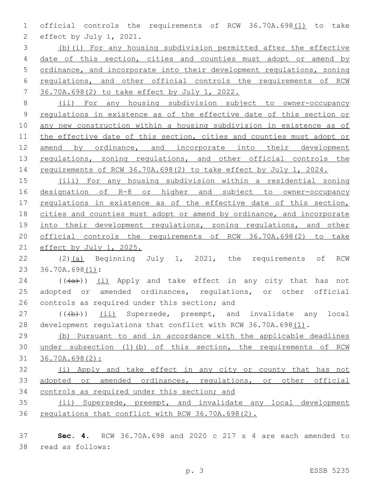official controls the requirements of RCW 36.70A.698(1) to take 2 effect by July 1, 2021.

 (b)(i) For any housing subdivision permitted after the effective date of this section, cities and counties must adopt or amend by ordinance, and incorporate into their development regulations, zoning regulations, and other official controls the requirements of RCW 36.70A.698(2) to take effect by July 1, 2022.

 (ii) For any housing subdivision subject to owner-occupancy regulations in existence as of the effective date of this section or any new construction within a housing subdivision in existence as of 11 the effective date of this section, cities and counties must adopt or 12 amend by ordinance, and incorporate into their development 13 regulations, zoning regulations, and other official controls the requirements of RCW 36.70A.698(2) to take effect by July 1, 2024.

 (iii) For any housing subdivision within a residential zoning designation of R-8 or higher and subject to owner-occupancy 17 regulations in existence as of the effective date of this section, cities and counties must adopt or amend by ordinance, and incorporate 19 into their development regulations, zoning regulations, and other official controls the requirements of RCW 36.70A.698(2) to take effect by July 1, 2025.

 (2)(a) Beginning July 1, 2021, the requirements of RCW 23 36.70A.698(1):

24  $((+a))$   $(i)$  Apply and take effect in any city that has not adopted or amended ordinances, regulations, or other official 26 controls as required under this section; and

27 (((b)) (ii) Supersede, preempt, and invalidate any local 28 development regulations that conflict with RCW 36.70A.698(1).

 (b) Pursuant to and in accordance with the applicable deadlines under subsection (1)(b) of this section, the requirements of RCW 36.70A.698(2):

 (i) Apply and take effect in any city or county that has not adopted or amended ordinances, regulations, or other official controls as required under this section; and

 (ii) Supersede, preempt, and invalidate any local development 36 regulations that conflict with RCW 36.70A.698(2).

 **Sec. 4.** RCW 36.70A.698 and 2020 c 217 s 4 are each amended to 38 read as follows: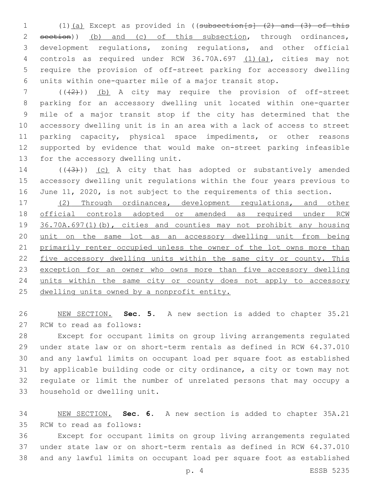1 (1)(a) Except as provided in ((subsection[s] (2) and (3) of this 2 section)) (b) and (c) of this subsection, through ordinances, development regulations, zoning regulations, and other official controls as required under RCW 36.70A.697 (1)(a), cities may not require the provision of off-street parking for accessory dwelling units within one-quarter mile of a major transit stop.

 ( $(\frac{1}{2})$ ) (b) A city may require the provision of off-street parking for an accessory dwelling unit located within one-quarter mile of a major transit stop if the city has determined that the accessory dwelling unit is in an area with a lack of access to street parking capacity, physical space impediments, or other reasons supported by evidence that would make on-street parking infeasible 13 for the accessory dwelling unit.

14 (((43))) (c) A city that has adopted or substantively amended accessory dwelling unit regulations within the four years previous to June 11, 2020, is not subject to the requirements of this section.

 (2) Through ordinances, development regulations, and other official controls adopted or amended as required under RCW 36.70A.697(1)(b), cities and counties may not prohibit any housing unit on the same lot as an accessory dwelling unit from being primarily renter occupied unless the owner of the lot owns more than 22 five accessory dwelling units within the same city or county. This 23 exception for an owner who owns more than five accessory dwelling 24 units within the same city or county does not apply to accessory 25 dwelling units owned by a nonprofit entity.

 NEW SECTION. **Sec. 5.** A new section is added to chapter 35.21 27 RCW to read as follows:

 Except for occupant limits on group living arrangements regulated under state law or on short-term rentals as defined in RCW 64.37.010 and any lawful limits on occupant load per square foot as established by applicable building code or city ordinance, a city or town may not regulate or limit the number of unrelated persons that may occupy a 33 household or dwelling unit.

 NEW SECTION. **Sec. 6.** A new section is added to chapter 35A.21 35 RCW to read as follows:

 Except for occupant limits on group living arrangements regulated under state law or on short-term rentals as defined in RCW 64.37.010 and any lawful limits on occupant load per square foot as established